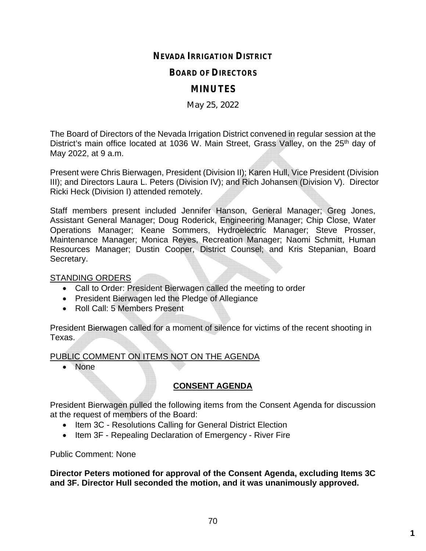# **NEVADA IRRIGATION DISTRICT**

#### **BOARD OF DIRECTORS**

# **MINUTES**

May 25, 2022

The Board of Directors of the Nevada Irrigation District convened in regular session at the District's main office located at 1036 W. Main Street, Grass Valley, on the 25<sup>th</sup> day of May 2022, at 9 a.m.

Present were Chris Bierwagen, President (Division II); Karen Hull, Vice President (Division III); and Directors Laura L. Peters (Division IV); and Rich Johansen (Division V). Director Ricki Heck (Division I) attended remotely.

Staff members present included Jennifer Hanson, General Manager; Greg Jones, Assistant General Manager; Doug Roderick, Engineering Manager; Chip Close, Water Operations Manager; Keane Sommers, Hydroelectric Manager; Steve Prosser, Maintenance Manager; Monica Reyes, Recreation Manager; Naomi Schmitt, Human Resources Manager; Dustin Cooper, District Counsel; and Kris Stepanian, Board Secretary.

#### STANDING ORDERS

- Call to Order: President Bierwagen called the meeting to order
- President Bierwagen led the Pledge of Allegiance
- Roll Call: 5 Members Present

President Bierwagen called for a moment of silence for victims of the recent shooting in Texas.

PUBLIC COMMENT ON ITEMS NOT ON THE AGENDA

• None

# **CONSENT AGENDA**

President Bierwagen pulled the following items from the Consent Agenda for discussion at the request of members of the Board:

- Item 3C Resolutions Calling for General District Election
- Item 3F Repealing Declaration of Emergency River Fire

Public Comment: None

**Director Peters motioned for approval of the Consent Agenda, excluding Items 3C and 3F. Director Hull seconded the motion, and it was unanimously approved.**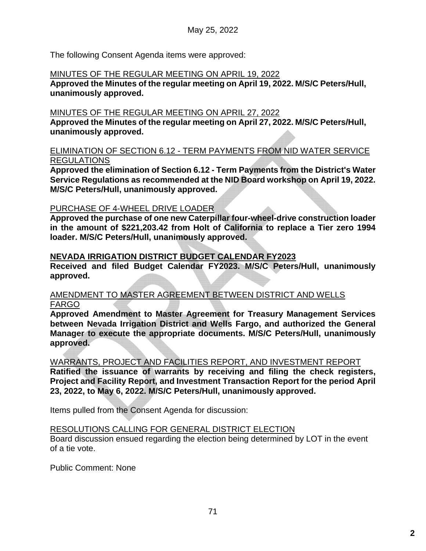The following Consent Agenda items were approved:

#### MINUTES OF THE REGULAR MEETING ON APRIL 19, 2022

**Approved the Minutes of the regular meeting on April 19, 2022. M/S/C Peters/Hull, unanimously approved.**

#### MINUTES OF THE REGULAR MEETING ON APRIL 27, 2022

**Approved the Minutes of the regular meeting on April 27, 2022. M/S/C Peters/Hull, unanimously approved.**

#### ELIMINATION OF SECTION 6.12 - TERM PAYMENTS FROM NID WATER SERVICE REGULATIONS

**Approved the elimination of Section 6.12 - Term Payments from the District's Water Service Regulations as recommended at the NID Board workshop on April 19, 2022. M/S/C Peters/Hull, unanimously approved.**

#### PURCHASE OF 4-WHEEL DRIVE LOADER

**Approved the purchase of one new Caterpillar four-wheel-drive construction loader in the amount of \$221,203.42 from Holt of California to replace a Tier zero 1994 loader. M/S/C Peters/Hull, unanimously approved.**

#### **NEVADA IRRIGATION DISTRICT BUDGET CALENDAR FY2023**

**Received and filed Budget Calendar FY2023. M/S/C Peters/Hull, unanimously approved.**

#### AMENDMENT TO MASTER AGREEMENT BETWEEN DISTRICT AND WELLS FARGO

**Approved Amendment to Master Agreement for Treasury Management Services between Nevada Irrigation District and Wells Fargo, and authorized the General Manager to execute the appropriate documents. M/S/C Peters/Hull, unanimously approved.**

WARRANTS, PROJECT AND FACILITIES REPORT, AND INVESTMENT REPORT

**Ratified the issuance of warrants by receiving and filing the check registers, Project and Facility Report, and Investment Transaction Report for the period April 23, 2022, to May 6, 2022. M/S/C Peters/Hull, unanimously approved.**

Items pulled from the Consent Agenda for discussion:

## RESOLUTIONS CALLING FOR GENERAL DISTRICT ELECTION

Board discussion ensued regarding the election being determined by LOT in the event of a tie vote.

Public Comment: None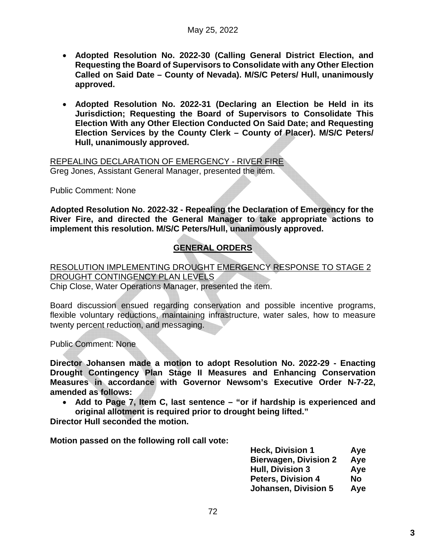- **Adopted Resolution No. 2022-30 (Calling General District Election, and Requesting the Board of Supervisors to Consolidate with any Other Election Called on Said Date – County of Nevada). M/S/C Peters/ Hull, unanimously approved.**
- **Adopted Resolution No. 2022-31 (Declaring an Election be Held in its Jurisdiction; Requesting the Board of Supervisors to Consolidate This Election With any Other Election Conducted On Said Date; and Requesting Election Services by the County Clerk – County of Placer). M/S/C Peters/ Hull, unanimously approved.**

REPEALING DECLARATION OF EMERGENCY - RIVER FIRE Greg Jones, Assistant General Manager, presented the item.

Public Comment: None

**Adopted Resolution No. 2022-32 - Repealing the Declaration of Emergency for the River Fire, and directed the General Manager to take appropriate actions to implement this resolution. M/S/C Peters/Hull, unanimously approved.**

# **GENERAL ORDERS**

RESOLUTION IMPLEMENTING DROUGHT EMERGENCY RESPONSE TO STAGE 2 DROUGHT CONTINGENCY PLAN LEVELS

Chip Close, Water Operations Manager, presented the item.

Board discussion ensued regarding conservation and possible incentive programs, flexible voluntary reductions, maintaining infrastructure, water sales, how to measure twenty percent reduction, and messaging.

Public Comment: None

**Director Johansen made a motion to adopt Resolution No. 2022-29 - Enacting Drought Contingency Plan Stage II Measures and Enhancing Conservation Measures in accordance with Governor Newsom's Executive Order N-7-22, amended as follows:**

 **Add to Page 7, Item C, last sentence – "or if hardship is experienced and original allotment is required prior to drought being lifted."**

**Director Hull seconded the motion.**

**Motion passed on the following roll call vote:**

| <b>Heck, Division 1</b>      | Aye |
|------------------------------|-----|
| <b>Bierwagen, Division 2</b> | Aye |
| <b>Hull, Division 3</b>      | Aye |
| <b>Peters, Division 4</b>    | No  |
| <b>Johansen, Division 5</b>  | Aye |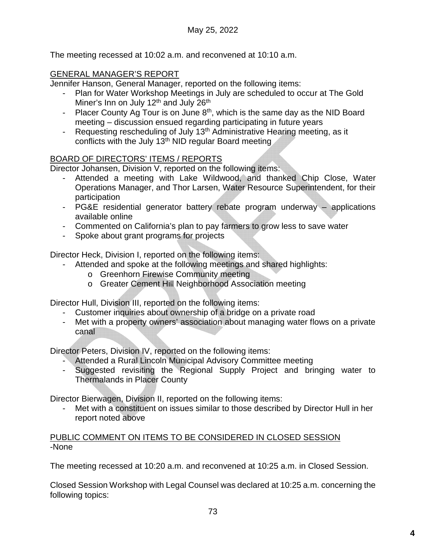The meeting recessed at 10:02 a.m. and reconvened at 10:10 a.m.

## GENERAL MANAGER'S REPORT

Jennifer Hanson, General Manager, reported on the following items:

- Plan for Water Workshop Meetings in July are scheduled to occur at The Gold Miner's Inn on July 12<sup>th</sup> and July 26<sup>th</sup>
- Placer County Ag Tour is on June  $8<sup>th</sup>$ , which is the same day as the NID Board meeting – discussion ensued regarding participating in future years
- Requesting rescheduling of July 13<sup>th</sup> Administrative Hearing meeting, as it conflicts with the July 13<sup>th</sup> NID regular Board meeting

#### BOARD OF DIRECTORS' ITEMS / REPORTS

Director Johansen, Division V, reported on the following items:

- Attended a meeting with Lake Wildwood, and thanked Chip Close, Water Operations Manager, and Thor Larsen, Water Resource Superintendent, for their participation
- PG&E residential generator battery rebate program underway applications available online
- Commented on California's plan to pay farmers to grow less to save water
- Spoke about grant programs for projects

Director Heck, Division I, reported on the following items:

- Attended and spoke at the following meetings and shared highlights:
	- o Greenhorn Firewise Community meeting
	- o Greater Cement Hill Neighborhood Association meeting

Director Hull, Division III, reported on the following items:

- Customer inquiries about ownership of a bridge on a private road
- Met with a property owners' association about managing water flows on a private canal

Director Peters, Division IV, reported on the following items:

- Attended a Rural Lincoln Municipal Advisory Committee meeting
- Suggested revisiting the Regional Supply Project and bringing water to Thermalands in Placer County

Director Bierwagen, Division II, reported on the following items:

Met with a constituent on issues similar to those described by Director Hull in her report noted above

PUBLIC COMMENT ON ITEMS TO BE CONSIDERED IN CLOSED SESSION -None

The meeting recessed at 10:20 a.m. and reconvened at 10:25 a.m. in Closed Session.

Closed Session Workshop with Legal Counsel was declared at 10:25 a.m. concerning the following topics: